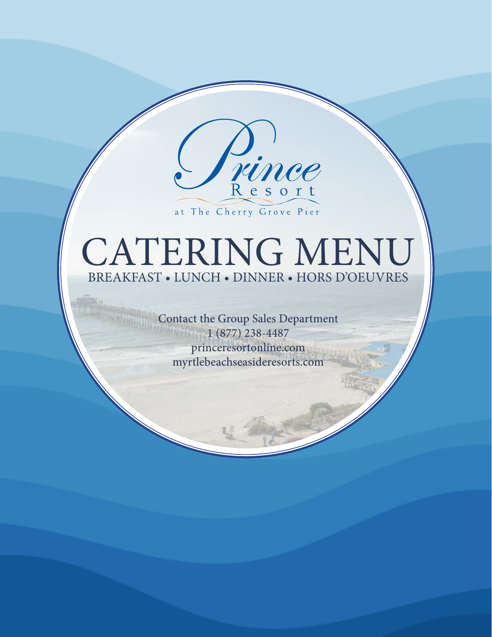

at The Cherry Grove Pier

# CATERING MENU BREAKFAST • LUNCH • DINNER • HORS D'OEUVRES

Contact the Group Sales Department  $1 (877) 238 - 4487$ princeresortonline.com myrtlebeachseasideresorts.com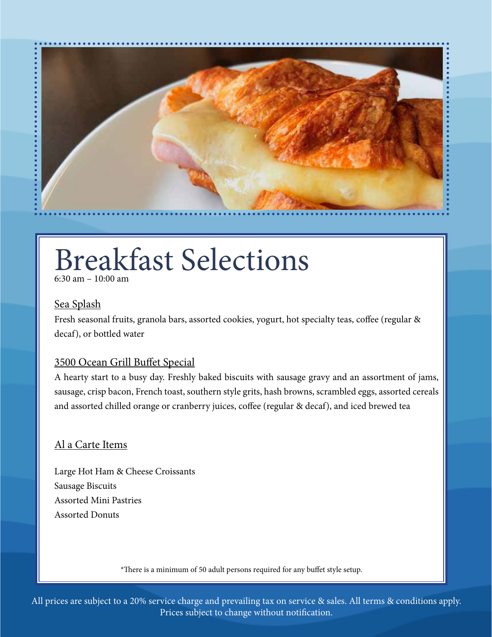

# Breakfast Selections

6:30 am – 10:00 am

### Sea Splash

Fresh seasonal fruits, granola bars, assorted cookies, yogurt, hot specialty teas, coffee (regular & decaf), or bottled water

## 3500 Ocean Grill Buffet Special

A hearty start to a busy day. Freshly baked biscuits with sausage gravy and an assortment of jams, sausage, crisp bacon, French toast, southern style grits, hash browns, scrambled eggs, assorted cereals and assorted chilled orange or cranberry juices, coffee (regular & decaf), and iced brewed tea

### Al a Carte Items

Large Hot Ham & Cheese Croissants Sausage Biscuits Assorted Mini Pastries Assorted Donuts

\*There is a minimum of 50 adult persons required for any buffet style setup.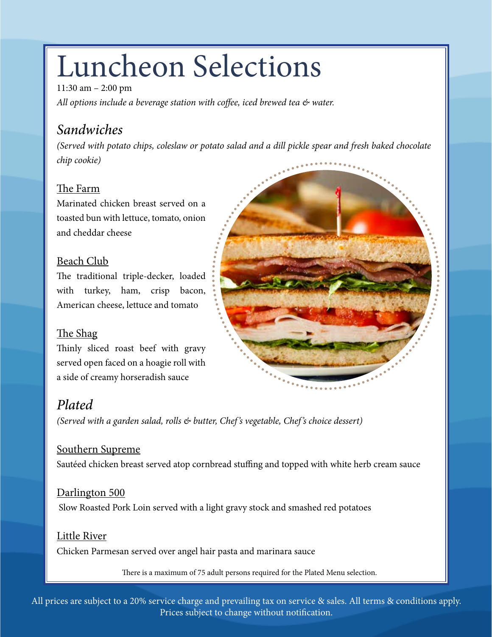# Luncheon Selections

11:30 am – 2:00 pm *All options include a beverage station with coffee, iced brewed tea & water.* 

# *Sandwiches*

*(Served with potato chips, coleslaw or potato salad and a dill pickle spear and fresh baked chocolate chip cookie)* 

## The Farm

Marinated chicken breast served on a toasted bun with lettuce, tomato, onion and cheddar cheese

## Beach Club

The traditional triple-decker, loaded with turkey, ham, crisp bacon, American cheese, lettuce and tomato

## The Shag

Thinly sliced roast beef with gravy served open faced on a hoagie roll with a side of creamy horseradish sauce

# *Plated*

*(Served with a garden salad, rolls & butter, Chef's vegetable, Chef's choice dessert)*

## Southern Supreme

Sautéed chicken breast served atop cornbread stuffing and topped with white herb cream sauce

## Darlington 500

Slow Roasted Pork Loin served with a light gravy stock and smashed red potatoes

## Little River

Chicken Parmesan served over angel hair pasta and marinara sauce

There is a maximum of 75 adult persons required for the Plated Menu selection.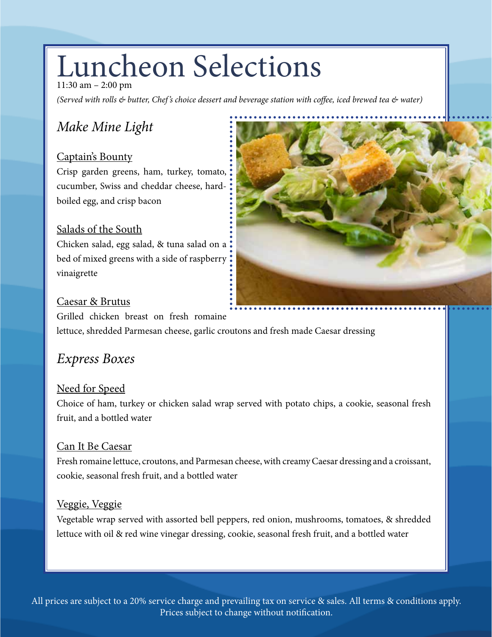# Luncheon Selections

11:30 am – 2:00 pm

*(Served with rolls & butter, Chef's choice dessert and beverage station with coffee, iced brewed tea & water)* 

# *Make Mine Light*

## Captain's Bounty

Crisp garden greens, ham, turkey, tomato, cucumber, Swiss and cheddar cheese, hardboiled egg, and crisp bacon

## Salads of the South

Chicken salad, egg salad, & tuna salad on a bed of mixed greens with a side of raspberry vinaigrette

![](_page_3_Picture_8.jpeg)

## Caesar & Brutus

Grilled chicken breast on fresh romaine

lettuce, shredded Parmesan cheese, garlic croutons and fresh made Caesar dressing

# *Express Boxes*

## Need for Speed

Choice of ham, turkey or chicken salad wrap served with potato chips, a cookie, seasonal fresh fruit, and a bottled water

## Can It Be Caesar

Fresh romaine lettuce, croutons, and Parmesan cheese, with creamy Caesar dressing and a croissant, cookie, seasonal fresh fruit, and a bottled water

## Veggie, Veggie

Vegetable wrap served with assorted bell peppers, red onion, mushrooms, tomatoes, & shredded lettuce with oil & red wine vinegar dressing, cookie, seasonal fresh fruit, and a bottled water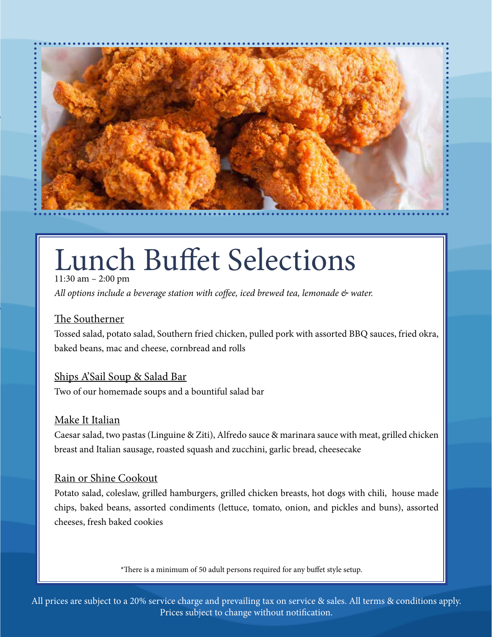![](_page_4_Picture_0.jpeg)

# Lunch Buffet Selections

11:30 am – 2:00 pm *All options include a beverage station with coffee, iced brewed tea, lemonade & water.* 

## The Southerner

Tossed salad, potato salad, Southern fried chicken, pulled pork with assorted BBQ sauces, fried okra, baked beans, mac and cheese, cornbread and rolls

## Ships A'Sail Soup & Salad Bar

Two of our homemade soups and a bountiful salad bar

## Make It Italian

Caesar salad, two pastas (Linguine & Ziti), Alfredo sauce & marinara sauce with meat, grilled chicken breast and Italian sausage, roasted squash and zucchini, garlic bread, cheesecake

## Rain or Shine Cookout

Potato salad, coleslaw, grilled hamburgers, grilled chicken breasts, hot dogs with chili, house made chips, baked beans, assorted condiments (lettuce, tomato, onion, and pickles and buns), assorted cheeses, fresh baked cookies

\*There is a minimum of 50 adult persons required for any buffet style setup.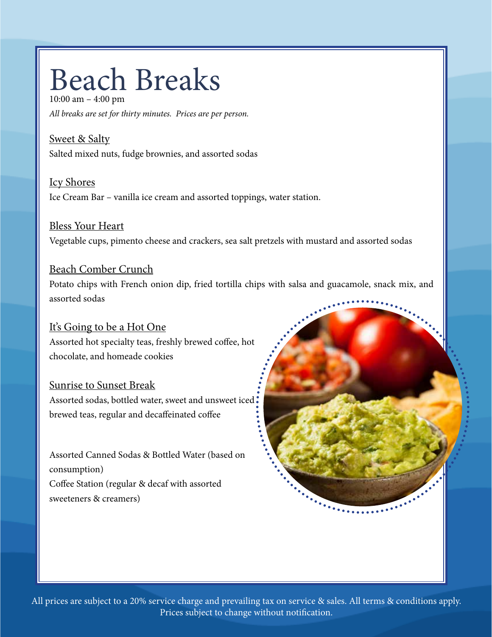# Beach Breaks

10:00 am – 4:00 pm *All breaks are set for thirty minutes. Prices are per person.* 

Sweet & Salty Salted mixed nuts, fudge brownies, and assorted sodas

Icy Shores Ice Cream Bar – vanilla ice cream and assorted toppings, water station.

## Bless Your Heart

Vegetable cups, pimento cheese and crackers, sea salt pretzels with mustard and assorted sodas

## Beach Comber Crunch

Potato chips with French onion dip, fried tortilla chips with salsa and guacamole, snack mix, and assorted sodas

## It's Going to be a Hot One

Assorted hot specialty teas, freshly brewed coffee, hot chocolate, and homeade cookies

### Sunrise to Sunset Break

Assorted sodas, bottled water, sweet and unsweet iced . brewed teas, regular and decaffeinated coffee

Assorted Canned Sodas & Bottled Water (based on consumption) Coffee Station (regular & decaf with assorted sweeteners & creamers)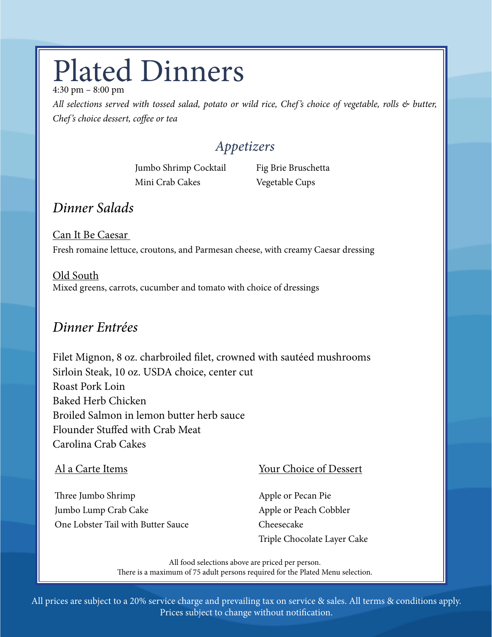# Plated Dinners

4:30 pm – 8:00 pm

*All selections served with tossed salad, potato or wild rice, Chef's choice of vegetable, rolls & butter, Chef's choice dessert, coffee or tea*

# *Appetizers*

Jumbo Shrimp Cocktail Mini Crab Cakes

Fig Brie Bruschetta Vegetable Cups

# *Dinner Salads*

Can It Be Caesar Fresh romaine lettuce, croutons, and Parmesan cheese, with creamy Caesar dressing

Old South Mixed greens, carrots, cucumber and tomato with choice of dressings

# *Dinner Entrées*

Filet Mignon, 8 oz. charbroiled filet, crowned with sautéed mushrooms Sirloin Steak, 10 oz. USDA choice, center cut Roast Pork Loin Baked Herb Chicken Broiled Salmon in lemon butter herb sauce Flounder Stuffed with Crab Meat Carolina Crab Cakes

## Al a Carte Items

Three Jumbo Shrimp Jumbo Lump Crab Cake One Lobster Tail with Butter Sauce

## Your Choice of Dessert

Apple or Pecan Pie Apple or Peach Cobbler Cheesecake Triple Chocolate Layer Cake

All food selections above are priced per person. There is a maximum of 75 adult persons required for the Plated Menu selection.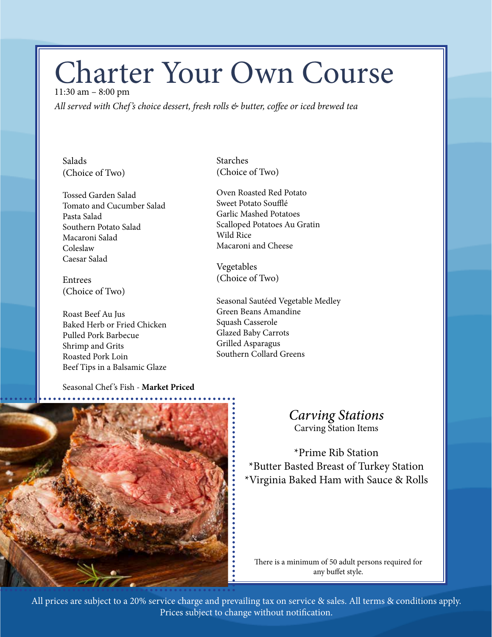# Charter Your Own Course

11:30 am – 8:00 pm *All served with Chef's choice dessert, fresh rolls & butter, coffee or iced brewed tea* 

Salads (Choice of Two)

Tossed Garden Salad Tomato and Cucumber Salad Pasta Salad Southern Potato Salad Macaroni Salad Coleslaw Caesar Salad

Entrees (Choice of Two)

Roast Beef Au Jus Baked Herb or Fried Chicken Pulled Pork Barbecue Shrimp and Grits Roasted Pork Loin Beef Tips in a Balsamic Glaze

Seasonal Chef 's Fish - **Market Priced**

Starches (Choice of Two)

Oven Roasted Red Potato Sweet Potato Soufflé Garlic Mashed Potatoes Scalloped Potatoes Au Gratin Wild Rice Macaroni and Cheese

Vegetables (Choice of Two)

Seasonal Sautéed Vegetable Medley Green Beans Amandine Squash Casserole Glazed Baby Carrots Grilled Asparagus Southern Collard Greens

![](_page_7_Picture_11.jpeg)

## *Carving Stations*  Carving Station Items

\*Prime Rib Station \*Butter Basted Breast of Turkey Station \*Virginia Baked Ham with Sauce & Rolls

There is a minimum of 50 adult persons required for any buffet style.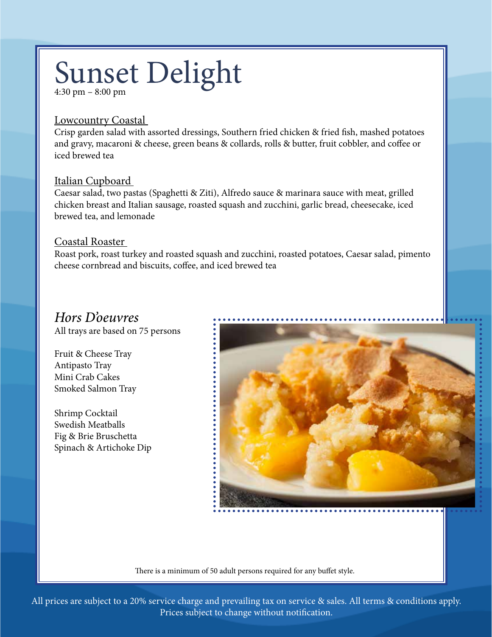# Sunset Delight

4:30 pm – 8:00 pm

### Lowcountry Coastal

Crisp garden salad with assorted dressings, Southern fried chicken & fried fish, mashed potatoes and gravy, macaroni & cheese, green beans & collards, rolls & butter, fruit cobbler, and coffee or iced brewed tea

### Italian Cupboard

Caesar salad, two pastas (Spaghetti & Ziti), Alfredo sauce & marinara sauce with meat, grilled chicken breast and Italian sausage, roasted squash and zucchini, garlic bread, cheesecake, iced brewed tea, and lemonade

### Coastal Roaster

Roast pork, roast turkey and roasted squash and zucchini, roasted potatoes, Caesar salad, pimento cheese cornbread and biscuits, coffee, and iced brewed tea

## *Hors D'oeuvres*

All trays are based on 75 persons

Fruit & Cheese Tray Antipasto Tray Mini Crab Cakes Smoked Salmon Tray

Shrimp Cocktail Swedish Meatballs Fig & Brie Bruschetta Spinach & Artichoke Dip

![](_page_8_Picture_12.jpeg)

There is a minimum of 50 adult persons required for any buffet style.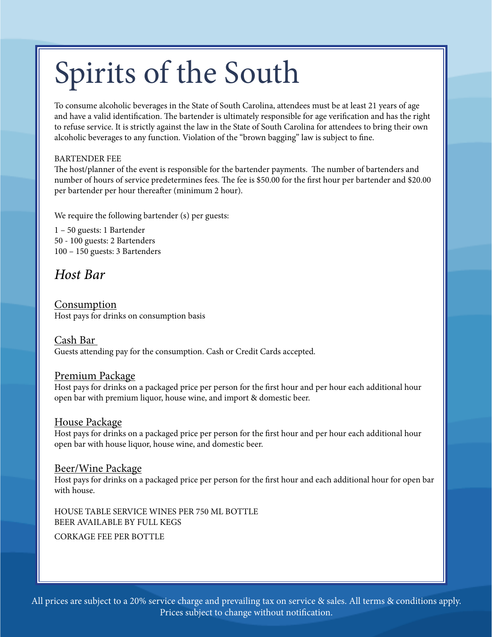# Spirits of the South

To consume alcoholic beverages in the State of South Carolina, attendees must be at least 21 years of age and have a valid identification. The bartender is ultimately responsible for age verification and has the right to refuse service. It is strictly against the law in the State of South Carolina for attendees to bring their own alcoholic beverages to any function. Violation of the "brown bagging" law is subject to fine.

#### BARTENDER FEE

The host/planner of the event is responsible for the bartender payments. The number of bartenders and number of hours of service predetermines fees. The fee is \$50.00 for the first hour per bartender and \$20.00 per bartender per hour thereafter (minimum 2 hour).

We require the following bartender (s) per guests:

1 – 50 guests: 1 Bartender 50 - 100 guests: 2 Bartenders 100 – 150 guests: 3 Bartenders

## *Host Bar*

Consumption Host pays for drinks on consumption basis

Cash Bar Guests attending pay for the consumption. Cash or Credit Cards accepted.

### Premium Package

Host pays for drinks on a packaged price per person for the first hour and per hour each additional hour open bar with premium liquor, house wine, and import & domestic beer.

### House Package

Host pays for drinks on a packaged price per person for the first hour and per hour each additional hour open bar with house liquor, house wine, and domestic beer.

### Beer/Wine Package

Host pays for drinks on a packaged price per person for the first hour and each additional hour for open bar with house.

HOUSE TABLE SERVICE WINES PER 750 ML BOTTLE BEER AVAILABLE BY FULL KEGS

CORKAGE FEE PER BOTTLE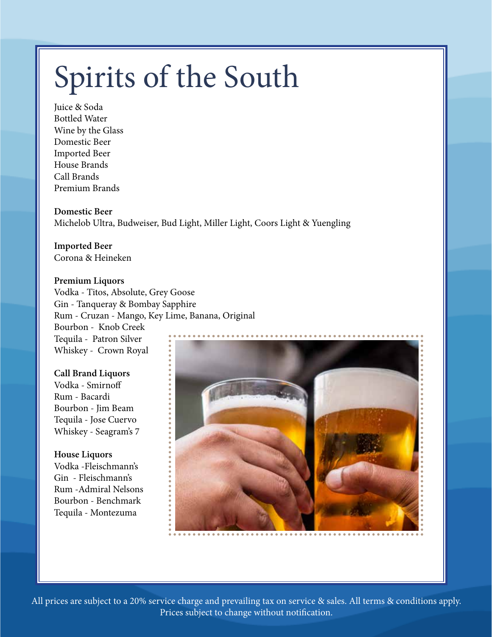# Spirits of the South

Juice & Soda Bottled Water Wine by the Glass Domestic Beer Imported Beer House Brands Call Brands Premium Brands

**Domestic Beer**  Michelob Ultra, Budweiser, Bud Light, Miller Light, Coors Light & Yuengling

**Imported Beer**  Corona & Heineken

### **Premium Liquors**

Vodka - Titos, Absolute, Grey Goose Gin - Tanqueray & Bombay Sapphire Rum - Cruzan - Mango, Key Lime, Banana, Original Bourbon - Knob Creek Tequila - Patron Silver Whiskey - Crown Royal

### **Call Brand Liquors**

Vodka - Smirnoff Rum - Bacardi Bourbon - Jim Beam Tequila - Jose Cuervo Whiskey - Seagram's 7

**House Liquors** Vodka -Fleischmann's Gin - Fleischmann's Rum -Admiral Nelsons Bourbon - Benchmark Tequila - Montezuma

![](_page_10_Picture_9.jpeg)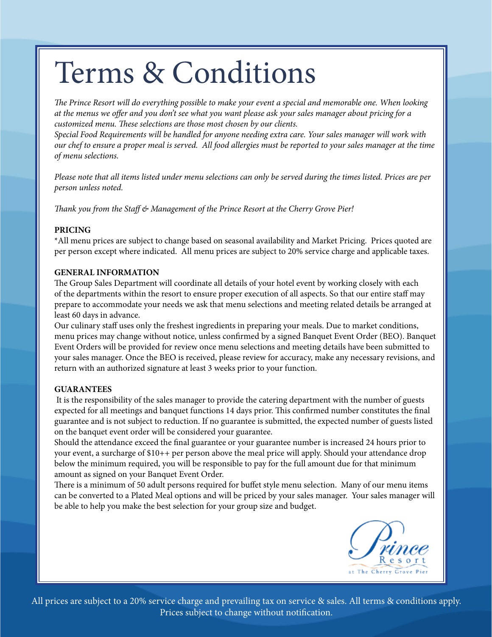# Terms & Conditions

*The Prince Resort will do everything possible to make your event a special and memorable one. When looking at the menus we offer and you don't see what you want please ask your sales manager about pricing for a customized menu. These selections are those most chosen by our clients.* 

*Special Food Requirements will be handled for anyone needing extra care. Your sales manager will work with our chef to ensure a proper meal is served. All food allergies must be reported to your sales manager at the time of menu selections.* 

*Please note that all items listed under menu selections can only be served during the times listed. Prices are per person unless noted.* 

*Thank you from the Staff & Management of the Prince Resort at the Cherry Grove Pier!* 

#### **PRICING**

\*All menu prices are subject to change based on seasonal availability and Market Pricing. Prices quoted are per person except where indicated. All menu prices are subject to 20% service charge and applicable taxes.

#### **GENERAL INFORMATION**

The Group Sales Department will coordinate all details of your hotel event by working closely with each of the departments within the resort to ensure proper execution of all aspects. So that our entire staff may prepare to accommodate your needs we ask that menu selections and meeting related details be arranged at least 60 days in advance.

Our culinary staff uses only the freshest ingredients in preparing your meals. Due to market conditions, menu prices may change without notice, unless confirmed by a signed Banquet Event Order (BEO). Banquet Event Orders will be provided for review once menu selections and meeting details have been submitted to your sales manager. Once the BEO is received, please review for accuracy, make any necessary revisions, and return with an authorized signature at least 3 weeks prior to your function.

#### **GUARANTEES**

 It is the responsibility of the sales manager to provide the catering department with the number of guests expected for all meetings and banquet functions 14 days prior. This confirmed number constitutes the final guarantee and is not subject to reduction. If no guarantee is submitted, the expected number of guests listed on the banquet event order will be considered your guarantee.

Should the attendance exceed the final guarantee or your guarantee number is increased 24 hours prior to your event, a surcharge of \$10++ per person above the meal price will apply. Should your attendance drop below the minimum required, you will be responsible to pay for the full amount due for that minimum amount as signed on your Banquet Event Order.

There is a minimum of 50 adult persons required for buffet style menu selection. Many of our menu items can be converted to a Plated Meal options and will be priced by your sales manager. Your sales manager will be able to help you make the best selection for your group size and budget.

![](_page_11_Picture_14.jpeg)